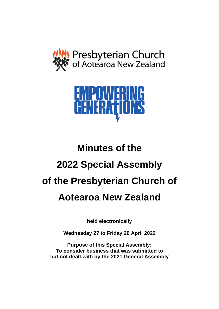



# **Minutes of the 2022 Special Assembly of the Presbyterian Church of Aotearoa New Zealand**

**held electronically**

**Wednesday 27 to Friday 29 April 2022**

**Purpose of this Special Assembly: To consider business that was submitted to but not dealt with by the 2021 General Assembly**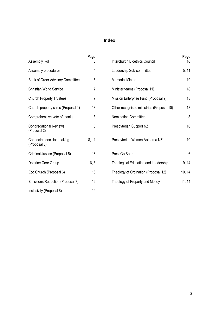# **Index**

| Assembly Roll                                 | Page<br>3      | <b>Interchurch Bioethics Council</b>        | Page<br>16      |
|-----------------------------------------------|----------------|---------------------------------------------|-----------------|
| Assembly procedures                           | 4              | Leadership Sub-committee                    | 5, 11           |
| Book of Order Advisory Committee              | 5              | <b>Memorial Minute</b>                      | 19              |
| <b>Christian World Service</b>                | 7              | Minister teams (Proposal 11)                | 18              |
| <b>Church Property Trustees</b>               | $\overline{7}$ | Mission Enterprise Fund (Proposal 9)        | 18              |
| Church property sales (Proposal 1)            | 18             | Other recognised ministries (Proposal 10)   | 18              |
| Comprehensive vote of thanks                  | 18             | Nominating Committee                        | 8               |
| <b>Congregational Reviews</b><br>(Proposal 2) | 8              | Presbyterian Support NZ                     | 10 <sup>1</sup> |
| Connected decision making<br>(Proposal 3)     | 8, 11          | Presbyterian Women Aotearoa NZ              | 10              |
| Criminal Justice (Proposal 5)                 | 18             | PressGo Board                               | 6               |
| Doctrine Core Group                           | 6, 8           | <b>Theological Education and Leadership</b> | 9, 14           |
| Eco Church (Proposal 6)                       | 16             | Theology of Ordination (Proposal 12)        | 10, 14          |
| Emissions Reduction (Proposal 7)              | 12             | Theology of Property and Money              | 11, 14          |
| Inclusivity (Proposal 8)                      | 12             |                                             |                 |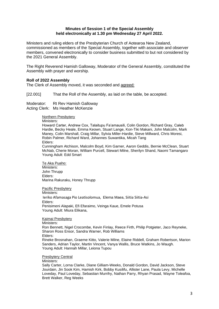#### **Minutes of Session 1 of the Special Assembly held electronically at 1.30 pm Wednesday 27 April 2022.**

Ministers and ruling elders of the Presbyterian Church of Aotearoa New Zealand, commissioned as members of the Special Assembly, together with associate and observer members, convened electronically to consider business submitted to but not considered by the 2021 General Assembly.

The Right Reverend Hamish Galloway, Moderator of the General Assembly, constituted the Assembly with prayer and worship.

# **Roll of 2022 Assembly**

The Clerk of Assembly moved, it was seconded and agreed:

[22.001] That the Roll of the Assembly, as laid on the table, be accepted.

Moderator: Rt Rev Hamish Galloway Acting Clerk: Ms Heather McKenzie

> Northern Presbytery Ministers: Howard Carter, Andrew Cox, Talaitupu Fa'amausili, Colin Gordon, Richard Gray, Caleb Hardie, Becky Heale, Emma Keown, Stuart Lange, Kon-Tiki Makani, John Malcolm, Mark Maney, Colin Marshall, Craig Millar, Sylvia Miller-Hardie, Steve Millward, Chris Moresi, Robin Palmer, Richard Ward, Johannes Suwantika, Micah Tang Elders: Cunningham Atchison, Malcolm Boyd, Kim Garner, Aaron Geddis, Bernie McClean, Stuart

> McNab, Cherie Moran, William Purcell, Stewart Milne, Sherilyn Shand, Naomi Tamangaro Young Adult: Edd Smart

Te Aka Puaho: Ministers: John Thrupp Elders: Marina Rakuraku, Honey Thrupp

Pacific Presbytery Ministers: Ieriko Afamasaga Pio Leatisolomua, Elema Maea, Siitia Siitia-Asi Elders: Penisimeni Alapaki, Efi Efaraimo, Veinga Kaue, Emele Potusa Young Adult: Miura Elikana,

Kaimai Presbytery Ministers: Ron Bennett, Nigel Crocombe, Kevin Finlay, Reece Firth, Philip Potgieter, Jaco Reyneke, Sharon Ross Ensor, Sandra Warner, Rob Williams Elders: Rineke Brosnahan, Graeme Kitto, Valerie Milne, Elaine Riddell, Graham Robertson, Marion Sanders, Adrian Taylor, Martin Vincent, Vanya Wallis, Bruce Watkins, Jo Waugh. Young Adult: Hannah Millar, Leiona Tupou

Presbytery Central

Ministers:

Sally Carter, Lorna Clarke, Diane Gilliam-Weeks, Donald Gordon, David Jackson, Steve Jourdain, Jin Sook Kim, Hamish Kirk, Bobby Kusilifu, Allister Lane, Paula Levy, Michelle Loveday, Paul Loveday, Sebastian Murrihy, Nathan Parry, Rhyan Prasad, Wayne Toleafoa, Brett Walker, Reg Weeks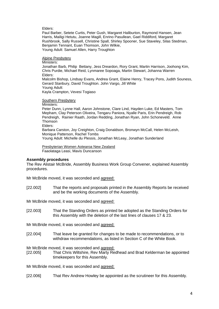Elders:

Paul Barber, Setete Curtis, Peter Gush, Margaret Haliburton, Raymond Hansen, Jean Harris, Mailigi Hetutu, Joanne Magill, Enrino Pasullean, Gael Riddiford, Margaret Rushbrook, Sally Russell, Christine Spall, Shirley Spooner, Sue Staveley, Silas Stedman, Benjamin Tennant, Euan Thomson, John Wilkie, Young Adult: Samuel Allen, Harry Troughton

Alpine Presbytery

Ministers: Jonathan Barb, Philip Bettany, Jess Dreardon, Rory Grant, Martin Harrison, Joohong Kim, Chris Purdie, Michael Reid, Lynmaree Sopoaga, Martin Stewart, Johanna Warren Elders: Malcolm Bishop, Lindsay Evans, Andrea Grant, Elaine Henry, Tracey Pons, Judith Souness, Gerard Stanbury, David Troughton. John Vargo, Jill White Young Adult: Kayla Crampton, Vevesi Togiaso

Southern Presbytery

Ministers:

Peter Dunn, Lynne Hall, Aaron Johnstone, Clare Lind, Hayden Luke, Ed Masters, Tom Mepham, Clay Peterson Oliveira, Tengaru Paniora, Nyalle Paris, Erin Pendreigh, Rob Pendreigh, Rainier Raath, Jordan Redding, Jonathan Ryan, John Schoneveld. Anne Thomson

Elders:

Barbara Carston, Joy Creighton, Craig Donaldson, Bronwyn McCall, Helen McLeish, Monique Patterson, Rachel Tombs

Young Adult: Michelle du Plessis, Jonathan McLeay, Jonathan Sunderland

Presbyterian Women Aotearoa New Zealand Faaolataga Leasi, Mavis Duncanson

# **Assembly procedures**

The Rev Alistair McBride, Assembly Business Work Group Convener, explained Assembly procedures.

Mr McBride moved, it was seconded and agreed:

[22.002] That the reports and proposals printed in the Assembly Reports be received and be the working documents of the Assembly.

Mr McBride moved, it was seconded and agreed:

[22.003] That the Standing Orders as printed be adopted as the Standing Orders for this Assembly with the deletion of the last lines of clauses 17 & 23.

Mr McBride moved, it was seconded and agreed:

[22.004] That leave be granted for changes to be made to recommendations, or to withdraw recommendations, as listed in Section C of the White Book.

Mr McBride moved, it was seconded and agreed:

[22.005] That Chris Wiltshire, Rev Marty Redhead and Brad Kelderman be appointed timekeepers for this Assembly.

Mr McBride moved, it was seconded and agreed:

[22.006] That Rev Andrew Howley be appointed as the scrutineer for this Assembly.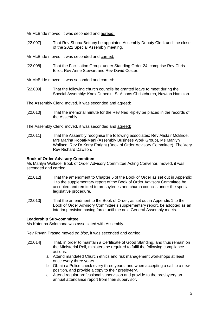Mr McBride moved, it was seconded and agreed:

[22.007] That Rev Shona Bettany be appointed Assembly Deputy Clerk until the close of the 2022 Special Assembly meeting.

Mr McBride moved, it was seconded and carried:

- [22.008] That the Facilitation Group, under Standing Order 24, comprise Rev Chris Elliot, Rev Anne Stewart and Rev David Coster.
- Mr McBride moved, it was seconded and carried:
- [22.009] That the following church councils be granted leave to meet during the Special Assembly: Knox Dunedin, St Albans Christchurch, Nawton Hamilton.

The Assembly Clerk moved, it was seconded and agreed:

[22.010] That the memorial minute for the Rev Ned Ripley be placed in the records of the Assembly.

The Assembly Clerk moved, it was seconded and agreed:

[22.011] That the Assembly recognise the following associates: Rev Alistair McBride, Mrs Marina Robati-Mani (Assembly Business Work Group), Ms Marilyn Wallace, Rev Dr Kerry Enright (Book of Order Advisory Committee), The Very Rev Richard Dawson.

#### **Book of Order Advisory Committee**

Ms Marilyn Wallace, Book of Order Advisory Committee Acting Convenor, moved, it was seconded and carried:

- [22.012] That the amendment to Chapter 5 of the Book of Order as set out in Appendix 1 to the supplementary report of the Book of Order Advisory Committee be accepted and remitted to presbyteries and church councils under the special legislative procedure.
- [22.013] That the amendment to the Book of Order, as set out in Appendix 1 to the Book of Order Advisory Committee's supplementary report, be adopted as an interim provision having force until the next General Assembly meets.

#### **Leadership Sub-committee**

Ms Katerina Solomona was associated with Assembly.

Rev Rhyan Prasad moved *en bloc,* it was seconded and carried:

- [22.014] That, in order to maintain a Certificate of Good Standing, and thus remain on the Ministerial Roll, ministers be required to fulfil the following compliance actions:
	- a. Attend mandated Church ethics and risk management workshops at least once every three years.
	- b. Obtain a Police check every three years, and when accepting a call to a new position, and provide a copy to their presbytery.
	- c. Attend regular professional supervision and provide to the presbytery an annual attendance report from their supervisor.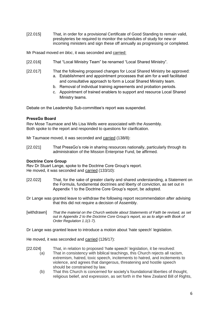[22.015] That, in order for a provisional Certificate of Good Standing to remain valid, presbyteries be required to monitor the schedules of study for new or incoming ministers and sign these off annually as progressing or completed.

Mr Prasad moved *en bloc*, it was seconded and carried:

- [22.016] That "Local Ministry Team" be renamed "Local Shared Ministry".
- [22.017] That the following proposed changes for Local Shared Ministry be approved: a. Establishment and appointment processes that aim for a well facilitated and consultative approach to form a Local Shared Ministry team.
	- b. Removal of individual training agreements and probation periods.
	- c. Appointment of trained enablers to support and resource Local Shared Ministry teams.

Debate on the Leadership Sub-committee's report was suspended.

# **PressGo Board**

Rev Mose Taumaoe and Ms Lisa Wells were associated with the Assembly. Both spoke to the report and responded to questions for clarification.

Mr Taumaoe moved, it was seconded and carried (138/8):

[22.021] That PressGo's role in sharing resources nationally, particularly through its administration of the Mission Enterprise Fund, be affirmed.

# **Doctrine Core Group**

Rev Dr Stuart Lange, spoke to the Doctrine Core Group's report. He moved, it was seconded and carried (133/10):

- [22.022] That, for the sake of greater clarity and shared understanding, a Statement on the Formula, fundamental doctrines and liberty of conviction, as set out in Appendix 1 to the Doctrine Core Group's report, be adopted.
- Dr Lange was granted leave to withdraw the following report recommendation after advising that this did not require a decision of Assembly.
- [withdrawn] *That the material on the Church website about Statements of Faith be revised, as set out in Appendix 2 to the Doctrine Core Group's report, so as to align with Book of Order Regulation 1.1(1-7).*

Dr Lange was granted leave to introduce a motion about 'hate speech' legislation.

He moved, it was seconded and carried (126/17):

- [22.024] That, in relation to proposed 'hate speech' legislation, it be resolved:
	- (a) That in consistency with biblical teachings, this Church rejects all racism, extremism, hatred, toxic speech, incitements to hatred, and incitements to violence, and agrees that dangerous, threatening and hostile speech should be constrained by law.
	- (b) That this Church is concerned for society's foundational liberties of thought, religious belief, and expression, as set forth in the New Zealand Bill of Rights,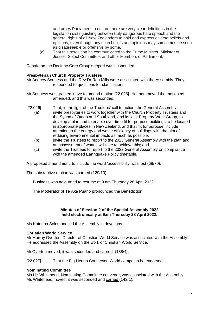and urges Parliament to ensure there are very clear definitions in the legislation distinguishing between truly dangerous hate speech and the general rights of all New Zealanders to hold and express diverse beliefs and opinions, even though any such beliefs and opinions may sometimes be seen as disagreeable or offensive by some.

(c) That this resolution be communicated to the Prime Minister, Minister of Justice, Select Committee, and other Members of Parliament.

Debate on the Doctrine Core Group's report was suspended.

#### **Presbyterian Church Property Trustees**

Mr Andrew Souness and the Rev Dr Ron Mills were associated with the Assembly. They responded to questions for clarification.

- Mr Souness was granted leave to amend motion [22.026]. He then moved the motion as amended, and this was seconded.
- [22.026] That, in the light of the Trustees' call to action, the General Assembly:
	- (a) invite presbyteries to work together with the Church Property Trustees and the Synod of Otago and Southland, and its joint Property Work Group, to develop a plan and to enable over time fit for purpose buildings to be located in appropriate places in New Zealand, and that 'fit for purpose' include attention to the energy and waste efficiency of buildings with the aim of reducing environmental impacts as much as possible.
		- (b) invite the Trustees to report to the 2023 General Assembly with the plan and an assessment of what it will take to achieve this; and
		- (c) invite the Trustees to report to the 2023 General Assembly on compliance with the amended Earthquake Policy timetable.

A proposed amendment, to include the word 'accessibility' was lost (68/70).

The substantive motion was carried (129/10).

Business was adjourned to resume at 9 am Thursday 28 April 2022.

The Moderator of Te Aka Puaho pronounced the Benediction.

#### **Minutes of Session 2 of the Special Assembly 2022 held electronically at 9am Thursday 28 April 2022.**

Ms Katerina Solomona led the Assembly in devotions.

#### **Christian World Service**

Mr Murray Overton, Director of Christian World Service was associated with the Assembly. He addressed the Assembly on the work of Christian World Service.

Mr Overton moved, it was seconded and carried (138/4):

[22.027] That the Big Hearts Connected World campaign be endorsed.

#### **Nominating Committee**

Ms Liz Whitehead, Nominating Committee convenor, was associated with the Assembly. Ms Whitehead moved, it was seconded and carried (142/1):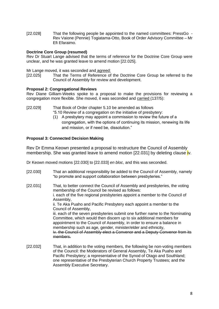[22.028] That the following people be appointed to the named committees: PressGo - Rev Vaione (Pennie) Togiatama-Otto, Book of Order Advisory Committee – Mr Efi Efaraimo.

# **Doctrine Core Group (resumed)**

Rev Dr Stuart Lange advised that the terms of reference for the Doctrine Core Group were unclear, and he was granted leave to amend motion [22.025].

Mr Lange moved, it was seconded and agreed:

[22.025] That the Terms of Reference of the Doctrine Core Group be referred to the Council of Assembly for review and development.

# **Proposal 2: Congregational Reviews**

Rev Diane Gilliam-Weeks spoke to a proposal to make the provisions for reviewing a congregation more flexible. She moved, it was seconded and carried (137/5):

- [22.029] That Book of Order chapter 5.10 be amended as follows
	- "5.10 Review of a congregation on the initiative of presbytery:
		- (1) A presbytery may appoint a commission to review the future of a congregation, with the options of continuing its mission, renewing its life and mission, or if need be, dissolution."

# **Proposal 3: Connected Decision Making**

Rev Dr Emma Keown presented a proposal to restructure the Council of Assembly membership. She was granted leave to amend motion [22.031] by deleting clause **i**v.

Dr Keown moved motions [22.030] to [22.033] *en bloc*, and this was seconded.

- [22.030] That an additional responsibility be added to the Council of Assembly, namely "to promote and support collaboration between presbyteries."
- [22.031] That, to better connect the Council of Assembly and presbyteries, the voting membership of the Council be revised as follows: i. each of the five regional presbyteries appoint a member to the Council of Assembly, ii. Te Aka Puaho and Pacific Presbytery each appoint a member to the Council of Assembly, iii. each of the seven presbyteries submit one further name to the Nominating Committee, which would then discern up to six additional members for appointment to the Council of Assembly, in order to ensure a balance in membership such as age, gender, minister/elder and ethnicity, iv. the Council of Assembly elect a Convenor and a Deputy Convenor from its members.
- [22.032] That, in addition to the voting members, the following be non-voting members of the Council: the Moderators of General Assembly, Te Aka Puaho and Pacific Presbytery; a representative of the Synod of Otago and Southland; one representative of the Presbyterian Church Property Trustees; and the Assembly Executive Secretary.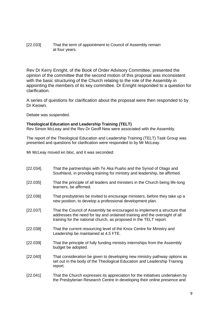# [22.033] That the term of appointment to Council of Assembly remain at four years.

Rev Dr Kerry Enright, of the Book of Order Advisory Committee, presented the opinion of the committee that the second motion of this proposal was inconsistent with the basic structuring of the Church relating to the role of the Assembly in appointing the members of its key committee. Dr Enright responded to a question for clarification.

A series of questions for clarification about the proposal were then responded to by Dr Keown.

Debate was suspended.

# **Theological Education and Leadership Training (TELT)**

Rev Simon McLeay and the Rev Dr Geoff New were associated with the Assembly.

The report of the Theological Education and Leadership Training (TELT) Task Group was presented and questions for clarification were responded to by Mr McLeay.

Mr McLeay moved en bloc, and it was seconded:

| $[22.034]$ . | That the partnerships with Te Aka Puaho and the Synod of Otago and<br>Southland, in providing training for ministry and leadership, be affirmed.                                                                           |
|--------------|----------------------------------------------------------------------------------------------------------------------------------------------------------------------------------------------------------------------------|
| [22.035]     | That the principle of all leaders and ministers in the Church being life-long<br>learners, be affirmed.                                                                                                                    |
| [22.036]     | That presbyteries be invited to encourage ministers, before they take up a<br>new position, to develop a professional development plan.                                                                                    |
| [22.037]     | That the Council of Assembly be encouraged to implement a structure that<br>addresses the need for lay and ordained training and the oversight of all<br>training for the national church, as proposed in the TELT report. |
| [22.038]     | That the current resourcing level of the Knox Centre for Ministry and<br>Leadership be maintained at 4.5 FTE.                                                                                                              |
| [22.039]     | That the principle of fully funding ministry internships from the Assembly<br>budget be adopted.                                                                                                                           |
| [22.040]     | That consideration be given to developing new ministry pathway options as<br>set out in the body of the Theological Education and Leadership Training<br>report.                                                           |
| [22.041]     | That the Church expresses its appreciation for the initiatives undertaken by<br>the Presbyterian Research Centre in developing their online presence and                                                                   |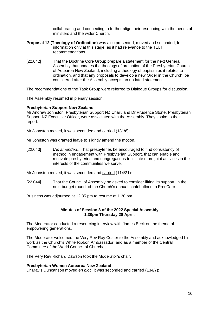collaborating and connecting to further align their resourcing with the needs of ministers and the wider Church.

- **Proposal 12 (Theology of Ordination)** was also presented, moved and seconded, for information only at this stage, as it had relevance to the TELT recommendations.
- [22.042] That the Doctrine Core Group prepare a statement for the next General Assembly that updates the theology of ordination of the Presbyterian Church of Aotearoa New Zealand, including a theology of baptism as it relates to ordination, and that any proposals to develop a new Order in the Church be considered after the Assembly accepts an updated statement.

The recommendations of the Task Group were referred to Dialogue Groups for discussion.

The Assembly resumed in plenary session.

#### **Presbyterian Support New Zealand**

Mr Andrew Johnston, Presbyterian Support NZ Chair, and Dr Prudence Stone, Presbyterian Support NZ Executive Officer, were associated with the Assembly. They spoke to their report.

Mr Johnston moved, it was seconded and carried (131/6):

Mr Johnston was granted leave to slightly amend the motion.

[22.043] (*As amended):* That presbyteries be encouraged to find consistency of method in engagement with Presbyterian Support, that can enable and motivate presbyteries and congregations to initiate more joint activities in the interests of the communities we serve.

Mr Johnston moved, it was seconded and carried (114/21):

[22.044] That the Council of Assembly be asked to consider lifting its support, in the next budget round, of the Church's annual contributions to PresCare.

Business was adjourned at 12.35 pm to resume at 1.30 pm.

#### **Minutes of Session 3 of the 2022 Special Assembly 1.30pm Thursday 28 April.**

The Moderator conducted a resourcing interview with James Beck on the theme of empowering generations.

The Moderator welcomed the Very Rev Ray Coster to the Assembly and acknowledged his work as the Church's White Ribbon Ambassador, and as a member of the Central Committee of the World Council of Churches.

The Very Rev Richard Dawson took the Moderator's chair.

#### **Presbyterian Women Aotearoa New Zealand**

Dr Mavis Duncanson moved *en bloc*, it was seconded and carried (134/7):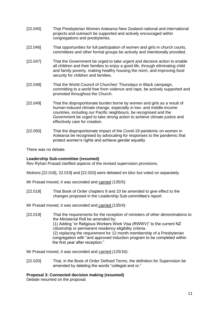- [22.045] That Presbyterian Women Aotearoa New Zealand national and international projects and outreach be supported and actively encouraged within congregations and presbyteries.
- [22.046] That opportunities for full participation of women and girls in church courts, committees and other formal groups be actively and intentionally provided.
- [22.047] That the Government be urged to take urgent and decisive action to enable all children and their families to enjoy a good life, through eliminating child and family poverty, making healthy housing the norm, and improving food security for children and families.
- [22.048] That the World Council of Churches' Thursdays in Black campaign, committing to a world free from violence and rape, be actively supported and promoted throughout the Church.
- [22.049] That the disproportionate burden borne by women and girls as a result of human-induced climate change, especially in low- and middle-income countries, including our Pacific neighbours, be recognised and the Government be urged to take strong action to achieve climate justice and effectively care for creation.
- [22.050] That the disproportionate impact of the Covid-19 pandemic on women in Aotearoa be recognised by advocating for responses to the pandemic that protect women's rights and achieve gender equality

There was no debate.

# **Leadership Sub-committee (resumed)**

Rev Ryhan Prasad clarified aspects of the revised supervision provisions.

Motions [22.018], 22.019] and [22.020] were debated *en bloc* but voted on separately.

Mr Prasad moved, it was seconded and carried (135/5):

- [22.018] That Book of Order chapters 9 and 10 be amended to give effect to the changes proposed in the Leadership Sub-committee's report.
- Mr Prasad moved, it was seconded and carried (135/4):
- [22.019] That the requirements for the reception of ministers of other denominations to the Ministerial Roll be amended by: (1) Adding "or Religious Workers Work Visa (RWWV)" to the current NZ citizenship or permanent residency eligibility criteria. (2) replacing the requirement for 12 month membership of a Presbyterian congregation with "and approved induction program to be completed within the first year after reception."

Mr Prasad moved, it was seconded and carried (125/16):

[22.020] That, in the Book of Order Defined Terms, the definition for Supervision be amended by deleting the words "collegial and or."

# **Proposal 3: Connected decision making (resumed)**

Debate resumed on the proposal.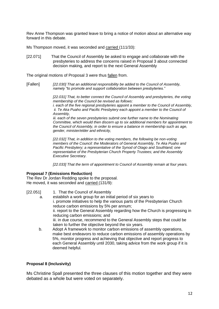Rev Anne Thompson was granted leave to bring a notice of motion about an alternative way forward in this debate.

Ms Thompson moved, it was seconded and carried (111/33):

[22.071] That the Council of Assembly be asked to engage and collaborate with the presbyteries to address the concerns raised in Proposal 3 about connected decision making, and report to the next General Assembly

The original motions of Proposal 3 were thus fallen from.

[Fallen] *[22.030] That an additional responsibility be added to the Council of Assembly, namely "to promote and support collaboration between presbyteries."* 

> *[22.031] That, to better connect the Council of Assembly and presbyteries, the voting membership of the Council be revised as follows:*

> *i. each of the five regional presbyteries appoint a member to the Council of Assembly, ii. Te Aka Puaho and Pacific Presbytery each appoint a member to the Council of Assembly,*

> *iii. each of the seven presbyteries submit one further name to the Nominating Committee, which would then discern up to six additional members for appointment to the Council of Assembly, in order to ensure a balance in membership such as age, gender, minister/elder and ethnicity,*

*[22.032] That, in addition to the voting members, the following be non-voting members of the Council: the Moderators of General Assembly, Te Aka Puaho and Pacific Presbytery; a representative of the Synod of Otago and Southland; one representative of the Presbyterian Church Property Trustees; and the Assembly Executive Secretary.* 

*[22.033] That the term of appointment to Council of Assembly remain at four years.* 

# **Proposal 7 (Emissions Reduction)**

The Rev Dr Jordan Redding spoke to the proposal. He moved, it was seconded and carried (131/9):

- [22.051] 1. That the Council of Assembly
	- a. establish a work group for an initial period of six years to i. promote initiatives to help the various parts of the Presbyterian Church reduce carbon emissions by 5% per annum; ii. report to the General Assembly regarding how the Church is progressing in reducing carbon emissions; and iii. in due course, recommend to the General Assembly steps that could be taken to further the objective beyond the six years.
	- b. Adopt A framework to monitor carbon emissions of assembly operations, make best endeavors to reduce carbon emissions of assembly operations by 5%, monitor progress and achieving that objective and report progress to each General Assembly until 2030, taking advice from the work group if it is deemed helpful.

# **Proposal 8 (Inclusivity)**

Ms Christine Spall presented the three clauses of this motion together and they were debated as a whole but were voted on separately.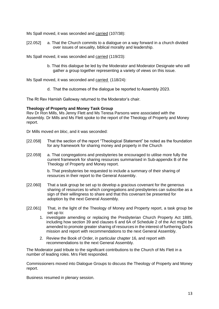Ms Spall moved, it was seconded and carried (107/38):

[22.052] a. That the Church commits to a dialogue on a way forward in a church divided over issues of sexuality, biblical morality and leadership.

Ms Spall moved, it was seconded and carried (119/23):

b. That this dialogue be led by the Moderator and Moderator Designate who will gather a group together representing a variety of views on this issue.

Ms Spall moved, it was seconded and carried (118/24):

d. That the outcomes of the dialogue be reported to Assembly 2023.

The Rt Rev Hamish Galloway returned to the Moderator's chair.

#### **Theology of Property and Money Task Group**

Rev Dr Ron Mills, Ms Jenny Flett and Ms Teresa Parsons were associated with the Assembly. Dr Mills and Ms Flett spoke to the report of the Theology of Property and Money report.

Dr Mills moved *en bloc*, and it was seconded:

- [22.058] That the section of the report "Theological Statement" be noted as the foundation for any framework for sharing money and property in the Church
- [22.059] a. That congregations and presbyteries be encouraged to utilise more fully the current framework for sharing resources summarised in Sub-appendix B of the Theology of Property and Money report.

b. That presbyteries be requested to include a summary of their sharing of resources in their report to the General Assembly.

- [22.060] That a task group be set up to develop a gracious covenant for the generous sharing of resources to which congregations and presbyteries can subscribe as a sign of their willingness to share and that this covenant be presented for adoption by the next General Assembly.
- [22.061] That, in the light of the Theology of Money and Property report, a task group be set up to:
	- 1. investigate amending or replacing the Presbyterian Church Property Act 1885, including how section 39 and clauses 6 and 6A of Schedule 2 of the Act might be amended to promote greater sharing of resources in the interest of furthering God's mission and report with recommendations to the next General Assembly.
	- 2. Review the Book of Order, in particular chapter 16, and report with recommendations to the next General Assembly.

The Moderator paid tribute to the significant contributions to the Church of Ms Flett in a number of leading roles. Mrs Flett responded.

Commissioners moved into Dialogue Groups to discuss the Theology of Property and Money report.

Business resumed in plenary session.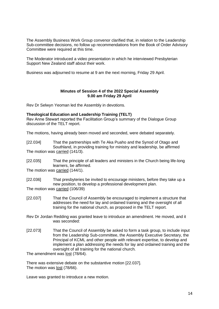The Assembly Business Work Group convenor clarified that, in relation to the Leadership Sub-committee decisions, no follow up recommendations from the Book of Order Advisory Committee were required at this time.

The Moderator introduced a video presentation in which he interviewed Presbyterian Support New Zealand staff about their work.

Business was adjourned to resume at 9 am the next morning, Friday 29 April.

#### **Minutes of Session 4 of the 2022 Special Assembly 9.00 am Friday 29 April**

Rev Dr Selwyn Yeoman led the Assembly in devotions.

# **Theological Education and Leadership Training (TELT)**

Rev Anne Stewart reported the Facilitation Group's summary of the Dialogue Group discussion of the TELT report.

The motions, having already been moved and seconded, were debated separately.

[22.034] That the partnerships with Te Aka Puaho and the Synod of Otago and Southland, in providing training for ministry and leadership, be affirmed The motion was carried (141/3).

[22.035] That the principle of all leaders and ministers in the Church being life-long learners, be affirmed.

The motion was carried (144/1).

- [22.036] That presbyteries be invited to encourage ministers, before they take up a new position, to develop a professional development plan. The motion was carried (106/39)
- [22.037] That the Council of Assembly be encouraged to implement a structure that addresses the need for lay and ordained training and the oversight of all training for the national church, as proposed in the TELT report.
- Rev Dr Jordan Redding was granted leave to introduce an amendment. He moved, and it was seconded:
- [22.073] That the Council of Assembly be asked to form a task group, to include input from the Leadership Sub-committee, the Assembly Executive Secretary, the Principal of KCML and other people with relevant expertise, to develop and implement a plan addressing the needs for lay and ordained training and the oversight of all training for the national church.

The amendment was lost (78/64).

There was extensive debate on the substantive motion [22.037]. The motion was lost (78/66).

Leave was granted to introduce a new motion.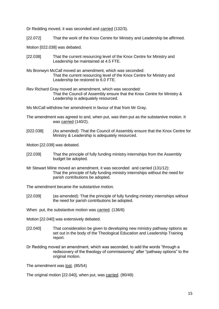Dr Redding moved, it was seconded and carried (132/3).

[22.072] That the work of the Knox Centre for Ministry and Leadership be affirmed.

Motion [022.038] was debated.

- [22.038] That the current resourcing level of the Knox Centre for Ministry and Leadership be maintained at 4.5 FTE.
- Ms Bronwyn McCall moved an amendment, which was seconded: That the current resourcing level of the Knox Centre for Ministry and Leadership be restored to 6.0 FTE.
- Rev Richard Gray moved an amendment, which was seconded: That the Council of Assembly ensure that the Knox Centre for Ministry & Leadership is adequately resourced.

Ms McCall withdrew her amendment in favour of that from Mr Gray.

- The amendment was agreed to and, when put, was then put as the substantive motion. It was carried (140/2).
- [022.038] (As amended): That the Council of Assembly ensure that the Knox Centre for Ministry & Leadership is adequately resourced.

Motion [22.039] was debated.

- [22.039] That the principle of fully funding ministry internships from the Assembly budget be adopted.
- Mr Stewart Milne moved an amendment, it was seconded and carried (131/12): That the principle of fully funding ministry internships without the need for parish contributions be adopted.

The amendment became the substantive motion.

- [22.039] (as amended): That the principle of fully funding ministry internships without the need for parish contributions be adopted.
- When put, the substantive motion was carried. (136/6)
- Motion [22.040] was extensively debated.
- [22.040] That consideration be given to developing new ministry pathway options as set out in the body of the Theological Education and Leadership Training report.
- Dr Redding moved an amendment, which was seconded, to add the words "through a rediscovery of the theology of commissioning" after "pathway options" to the original motion.

The amendment was lost. (85/54)

The original motion [22.040], when put, was carried. (90/49)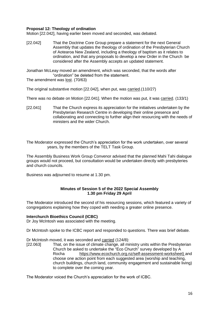# **Proposal 12: Theology of ordination**

Motion [22.042], having earlier been moved and seconded, was debated.

[22.042] That the Doctrine Core Group prepare a statement for the next General Assembly that updates the theology of ordination of the Presbyterian Church of Aotearoa New Zealand, including a theology of baptism as it relates to ordination, and that any proposals to develop a new Order in the Church be considered after the Assembly accepts an updated statement.

Jonathan McLeay moved an amendment, which was seconded, that the words after "ordination" be deleted from the statement.

The amendment was lost. (70/63)

The original substantive motion [22.042], when put, was carried.(110/27)

There was no debate on Motion [22.041]. When the motion was put, it was carried. (133/1)

[22.041] That the Church express its appreciation for the initiatives undertaken by the Presbyterian Research Centre in developing their online presence and collaborating and connecting to further align their resourcing with the needs of ministers and the wider Church.

The Moderator expressed the Church's appreciation for the work undertaken, over several years, by the members of the TELT Task Group.

The Assembly Business Work Group Convenor advised that the planned Mahi Tahi dialogue groups would not proceed, but consultation would be undertaken directly with presbyteries and church councils.

Business was adjourned to resume at 1.30 pm.

#### **Minutes of Session 5 of the 2022 Special Assembly 1.30 pm Friday 29 April**

The Moderator introduced the second of his resourcing sessions, which featured a variety of congregations explaining how they coped with needing a greater online presence.

# **Interchurch Bioethics Council (ICBC)**

Dr Joy McIntosh was associated with the meeting.

Dr McIntosh spoke to the ICBC report and responded to questions. There was brief debate.

Dr McIntosh moved, it was seconded and carried (124/8):

[22.063] That, on the issue of climate change, all ministry units within the Presbyterian Church be asked to undertake the "Eco Church" survey developed by A Rocha [https://www.ecochurch.org.nz/self-assessment-w](https://www.ecochurch.org.nz/self-assessment-)orksheet) and choose one action point from each suggested area (worship and teaching, church buildings, church land, community engagement and sustainable living) to complete over the coming year.

The Moderator voiced the Church's appreciation for the work of ICBC.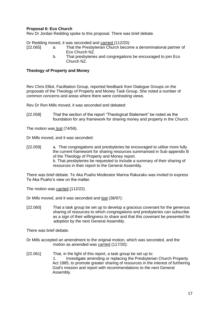# **Proposal 6: Eco Church**

Rev Dr Jordan Redding spoke to this proposal. There was brief debate.

Dr Redding moved, it was seconded and carried (112/20):

- [22.065] a. That the Presbyterian Church become a denominational partner of Eco Church NZ.
	- b. That presbyteries and congregations be encouraged to join Eco Church NZ.

#### **Theology of Property and Money**

Rev Chris Elliot, Facilitation Group, reported feedback from Dialogue Groups on the proposals of the Theology of Property and Money Task Group. She noted a number of common concerns and areas where there were contrasting views.

Rev Dr Ron Mills moved, it was seconded and debated:

[22.058] That the section of the report "Theological Statement" be noted as the foundation for any framework for sharing money and property in the Church.

The motion was lost (74/59).

Dr Mills moved, and it was seconded:

[22.059] a. That congregations and presbyteries be encouraged to utilise more fully the current framework for sharing resources summarised in Sub-appendix B of the Theology of Property and Money report. b. That presbyteries be requested to include a summary of their sharing of resources in their report to the General Assembly.

There was brief debate. Te Aka Puaho Moderator Marina Rakuraku was invited to express Te Aka Puaho's view on the matter.

The motion was carried (112/22).

Dr Mills moved, and it was seconded and lost (38/97):

[22.060] That a task group be set up to develop a gracious covenant for the generous sharing of resources to which congregations and presbyteries can subscribe as a sign of their willingness to share and that this covenant be presented for adoption by the next General Assembly.

There was brief debate.

Dr Mills accepted an amendment to the original motion, which was seconded, and the motion as amended was carried (117/20):

[22.061] That, in the light of this report, a task group be set up to: 1. Investigate amending or replacing the Presbyterian Church Property Act 1885, to promote greater sharing of resources in the interest of furthering God's mission and report with recommendations to the next General Assembly.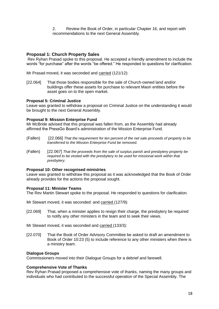2. Review the Book of Order, in particular Chapter 16, and report with recommendations to the next General Assembly.

# **Proposal 1: Church Property Sales**

Rev Ryhan Prasad spoke to this proposal. He accepted a friendly amendment to include the words "for purchase" after the words "be offered." He responded to questions for clarification.

Mr Prasad moved, it was seconded and carried (121/12):

[22.064] That those bodies responsible for the sale of Church-owned land and/or buildings offer these assets for purchase to relevant Maori entities before the asset goes on to the open market.

# **Proposal 5: Criminal Justice**

Leave was granted to withdraw a proposal on Criminal Justice on the understanding it would be brought to the next General Assembly.

#### **Proposal 9: Mission Enterprise Fund**

Mr McBride advised that this proposal was fallen from, as the Assembly had already affirmed the PressGo Board's administration of the Mission Enterprise Fund.

- (Fallen) [22.066] *That the requirement for ten percent of the net sale proceeds of property to be transferred to the Mission Enterprise Fund be removed.*
- (Fallen) [22.067] *That the proceeds from the sale of surplus parish and presbytery property be required to be vested with the presbytery to be used for missional work within that presbytery.*

# **Proposal 10: Other recognised ministries**

Leave was granted to withdraw this proposal as it was acknowledged that the Book of Order already provides for the actions the proposal sought.

#### **Proposal 11: Minister Teams**

The Rev Martin Stewart spoke to the proposal. He responded to questions for clarification.

Mr Stewart moved, it was seconded: and carried (127/9):

[22.069] That, when a minister applies to resign their charge, the presbytery be required to notify any other ministers in the team and to seek their views.

Mr Stewart moved, it was seconded and carried (133/3):

[22.070] That the Book of Order Advisory Committee be asked to draft an amendment to Book of Order 10:23 (5) to include reference to any other ministers when there is a ministry team.

# **Dialogue Groups**

Commissioners moved into their Dialogue Groups for a debrief and farewell.

# **Comprehensive Vote of Thanks**

Rev Ryhan Prasad proposed a comprehensive vote of thanks, naming the many groups and individuals who had contributed to the successful operation of the Special Assembly. The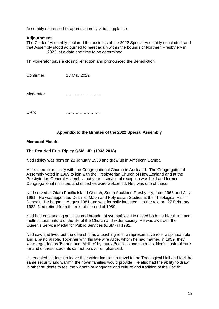Assembly expressed its appreciation by virtual applause.

#### **Adjournment**

The Clerk of Assembly declared the business of the 2022 Special Assembly concluded, and that Assembly stood adjourned to meet again within the bounds of Northern Presbytery in 2023, at a date and time to be determined.

Th Moderator gave a closing reflection and pronounced the Benediction.

| Confirmed | 18 May 2022 |
|-----------|-------------|
|           |             |
|           |             |

Moderator **metallicity** in the metallicity of the metallicity of the metallicity of the metallicity of the metallicity of the metallicity of the metallicity of the metallicity of the metallicity of the metallicity of the m

Clerk …………………….

#### **Appendix to the Minutes of the 2022 Special Assembly**

#### **Memorial Minute**

# **The Rev Ned Eric Ripley QSM, JP (1933-2018)**

Ned Ripley was born on 23 January 1933 and grew up in American Samoa.

He trained for ministry with the Congregational Church in Auckland. The Congregational Assembly voted in 1969 to join with the Presbyterian Church of New Zealand and at the Presbyterian General Assembly that year a service of reception was held and former Congregational ministers and churches were welcomed. Ned was one of these.

Ned served at Otara Pacific Island Church, South Auckland Presbytery, from 1966 until July 1981. He was appointed Dean of Māori and Polynesian Studies at the Theological Hall in Dunedin. He began in August 1981 and was formally inducted into the role on 27 February 1982. Ned retired from the role at the end of 1989.

Ned had outstanding qualities and breadth of sympathies. He raised both the bi-cultural and multi-cultural nature of the life of the Church and wider society. He was awarded the Queen's Service Medal for Public Services (QSM) in 1982.

Ned saw and lived out the deanship as a teaching role, a representative role, a spiritual role and a pastoral role. Together with his late wife Alice, whom he had married in 1959, they were regarded as 'Father' and 'Mother' by many Pacific Island students. Ned's pastoral care for and of these students cannot be over emphasised.

He enabled students to leave their wider families to travel to the Theological Hall and feel the same security and warmth their own families would provide. He also had the ability to draw in other students to feel the warmth of language and culture and tradition of the Pacific.